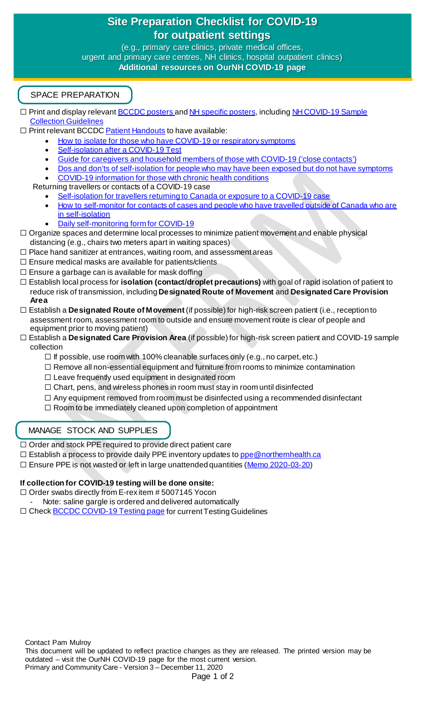# **Site Preparation Checklist for COVID-19 for outpatient settings**

**Purpose: to support direct care leaders and primary care centres, NH clinics, hospital outpatient clinics)** (e.g., primary care clinics, private medical offices, **Additional resources on OurNH COVID-19 page**



□ Print and display relevan[t BCCDC posters a](http://www.bccdc.ca/health-professionals/clinical-resources/covid-19-care/signage-posters)n[d NH specific posters,](https://ournh.northernhealth.ca/AboutNH/Emergency/Coronavirus/Pages/default.aspx) including NH COVID-19 Sample [Collection Guidelines](https://ournh.northernhealth.ca/oursites/communications/OurNH%20Communications%20Documents/covid-19-sample-collection-nh-guideline.pdf)

 $\Box$  Print relevant BCCDC [Patient Handouts](http://www.bccdc.ca/health-professionals/clinical-resources/covid-19-care/patient-handouts) to have available:

- [How to isolate for those who have COVID-19 or respiratory symptoms](http://www.bccdc.ca/Health-Info-Site/Documents/Self-isolation.pdf)
- [Self-isolation after a COVID-19 Test](http://www.bccdc.ca/resource-gallery/Documents/Guidelines%20and%20Forms/Guidelines%20and%20Manuals/Epid/CD%20Manual/Chapter%201%20-%20CDC/COVID19-self-isolation-post-testing.pdf)
- [Guide for caregivers and household members of those](http://www.bccdc.ca/Health-Info-Site/Documents/Self-isolation_caregivers.pdf) with COVID-19 ('close contacts')
- [Dos and don'ts of self-isolation for people who may have been exposed but do not have symptoms](http://www.bccdc.ca/Health-Info-Site/Documents/Self-isolation_dos_donts.pdf)
- [COVID-19 information for those with chronic health conditions](http://www.bccdc.ca/resource-gallery/Documents/Guidelines%20and%20Forms/Guidelines%20and%20Manuals/Epid/CD%20Manual/Chapter%201%20-%20CDC/COVID-19-Handout-chronic-disease.pdf)
- Returning travellers or contacts of a COVID-19 case
	- [Self-isolation for travellers returning to Canada or exposure to a COVID-19 case](http://www.bccdc.ca/Health-Info-Site/Documents/Self-isolation-handout-travellers-exposures.pdf)
	- [How to self-monitor for contacts of cases and people who have travelled outside of Canada who are](http://www.bccdc.ca/Health-Info-Site/Documents/Self-monitoring.pdf)  [in self-isolation](http://www.bccdc.ca/Health-Info-Site/Documents/Self-monitoring.pdf)
	- [Daily self-monitoring form for COVID-19](http://www.bccdc.ca/resource-gallery/Documents/Guidelines%20and%20Forms/Guidelines%20and%20Manuals/Epid/CD%20Manual/Chapter%201%20-%20CDC/COVID19-Contact-monitoring-form.pdf)
- □ Organize spaces and determine local processes to minimize patient movement and enable physical distancing (e.g., chairs two meters apart in waiting spaces)
- $\Box$  Place hand sanitizer at entrances, waiting room, and assessment areas
- $\Box$  Ensure medical masks are available for patients/clients
- $\Box$  Ensure a garbage can is available for mask doffing
- ☐ Establish local process for **isolation (contact/droplet precautions)** with goal of rapid isolation of patient to reduce risk of transmission, including **Designated Route of Movement** and **Designated Care Provision Area**
- ☐ Establish a **Designated Route of Movement** (if possible) for high-risk screen patient (i.e., reception to assessment room, assessment room to outside and ensure movement route is clear of people and equipment prior to moving patient)
- ☐ Establish a **Designated Care Provision Area** (if possible) for high-risk screen patient and COVID-19 sample collection
	- $\Box$  If possible, use room with 100% cleanable surfaces only (e.g., no carpet, etc.)
	- ☐ Remove all non-essential equipment and furniture from rooms to minimize contamination
	- ☐ Leave frequently used equipment in designated room
	- $\Box$  Chart, pens, and wireless phones in room must stay in room until disinfected
	- $\Box$  Any equipment removed from room must be disinfected using a recommended disinfectant
	- ☐ Room to be immediately cleaned upon completion of appointment

## MANAGE STOCK AND SUPPLIES

□ Order and stock PPE required to provide direct patient care

- □ Establish a process to provide daily PPE inventory updates t[o ppe@northernhealth.ca](mailto:ppe@northernhealth.ca)
- □ Ensure PPE is not wasted or left in large unattended quantities [\(Memo 2020-](https://ournh.northernhealth.ca/oursites/communications/OurNH%20Communications%20Documents/2020-03-20-Memo-Flatten-the-PPE-Usage-Curve.pdf)03-20)

### **If collection for COVID-19 testing will be done onsite:**

- □ Order swabs directly from E-rex item # 5007145 Yocon
- Note: saline gargle is ordered and delivered automatically
- □ Check **BCCDC COVID-19 Testing page** for current Testing Guidelines